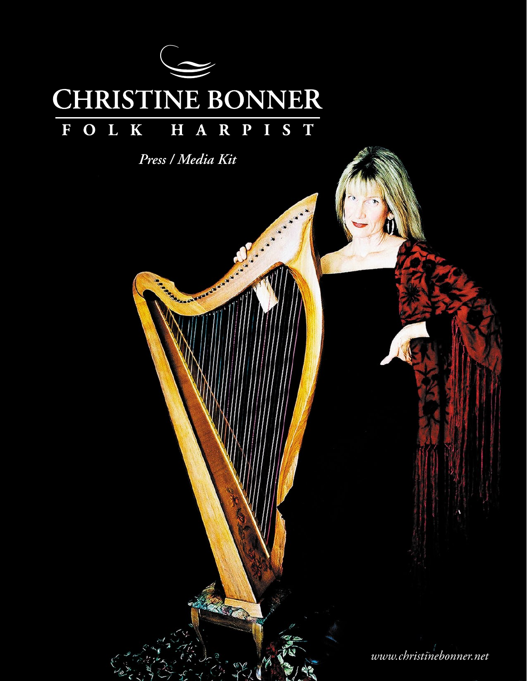

*Press / Media Kit*

**TANKS OF BASES OF** 

*www.christinebonner.net*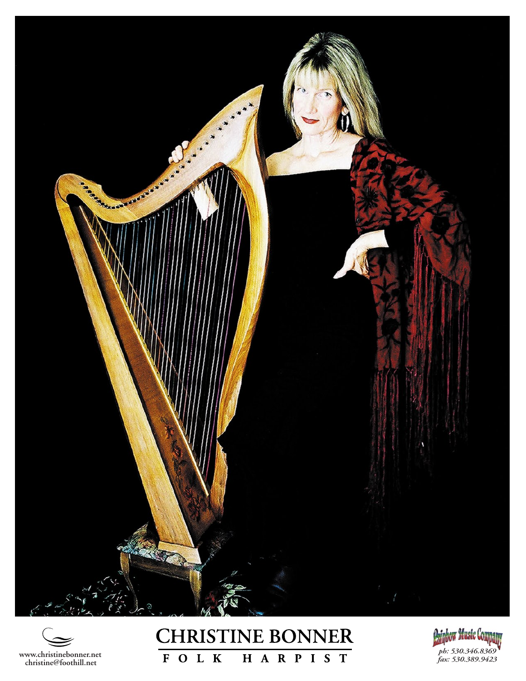



## **CHRISTINE BONNER** FOLK H A R P I S T

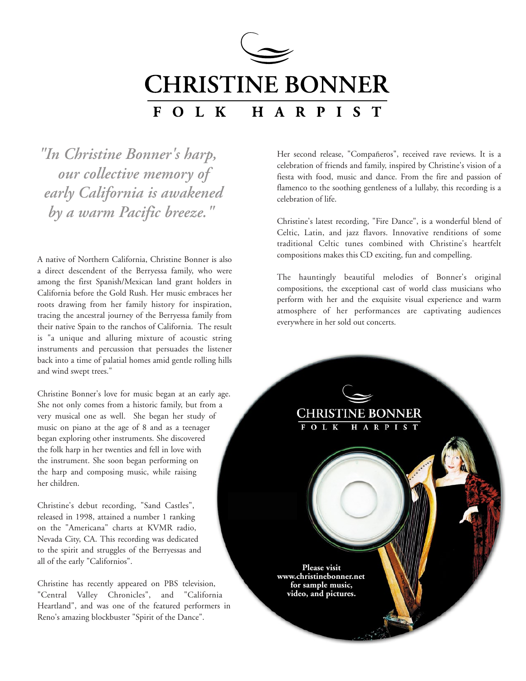

*"In Christine Bonner's harp, our collective memory of early California is awakened by a warm Pacific breeze."* 

A native of Northern California, Christine Bonner is also a direct descendent of the Berryessa family, who were among the first Spanish/Mexican land grant holders in California before the Gold Rush. Her music embraces her roots drawing from her family history for inspiration, tracing the ancestral journey of the Berryessa family from their native Spain to the ranchos of California. The result is "a unique and alluring mixture of acoustic string instruments and percussion that persuades the listener back into a time of palatial homes amid gentle rolling hills and wind swept trees."

Christine Bonner's love for music began at an early age. She not only comes from a historic family, but from a very musical one as well. She began her study of music on piano at the age of 8 and as a teenager began exploring other instruments. She discovered the folk harp in her twenties and fell in love with the instrument. She soon began performing on the harp and composing music, while raising her children.

Christine's debut recording, "Sand Castles", released in 1998, attained a number 1 ranking on the "Americana" charts at KVMR radio, Nevada City, CA. This recording was dedicated to the spirit and struggles of the Berryessas and all of the early "Californios".

Christine has recently appeared on PBS television, "Central Valley Chronicles", and "California Heartland", and was one of the featured performers in Reno's amazing blockbuster "Spirit of the Dance".

Her second release, "Compañeros", received rave reviews. It is a celebration of friends and family, inspired by Christine's vision of a fiesta with food, music and dance. From the fire and passion of flamenco to the soothing gentleness of a lullaby, this recording is a celebration of life.

Christine's latest recording, "Fire Dance", is a wonderful blend of Celtic, Latin, and jazz flavors. Innovative renditions of some traditional Celtic tunes combined with Christine's heartfelt compositions makes this CD exciting, fun and compelling.

The hauntingly beautiful melodies of Bonner's original compositions, the exceptional cast of world class musicians who perform with her and the exquisite visual experience and warm atmosphere of her performances are captivating audiences everywhere in her sold out concerts.

**CHRISTINE BONNER** 

H A R P I S T

**Please visit www.christinebonner.net for sample music, video, and pictures.**

FOLK